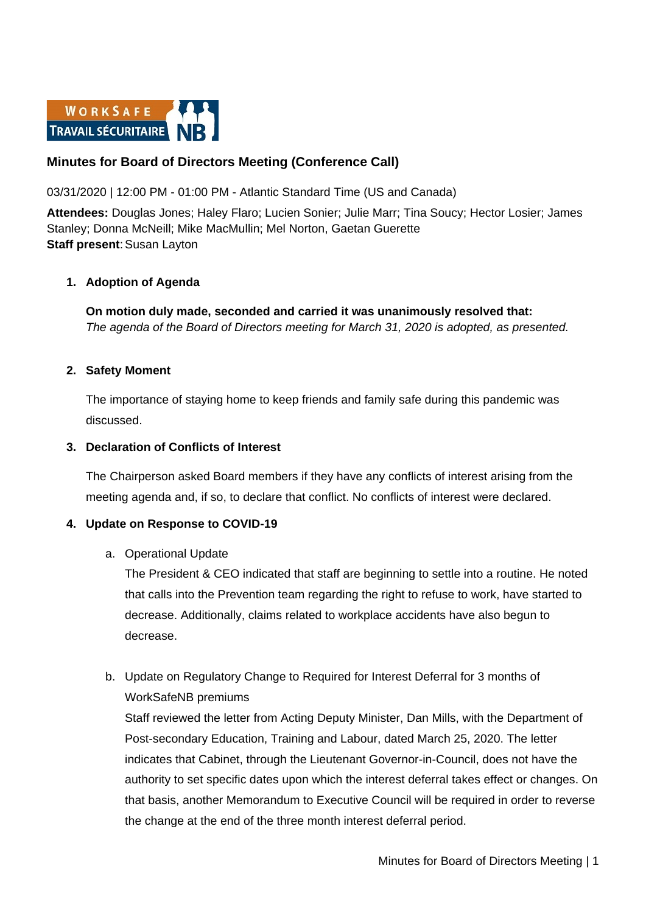

# **Minutes for Board of Directors Meeting (Conference Call)**

#### 03/31/2020 | 12:00 PM - 01:00 PM - Atlantic Standard Time (US and Canada)

**Attendees:** Douglas Jones; Haley Flaro; Lucien Sonier; Julie Marr; Tina Soucy; Hector Losier; James Stanley; Donna McNeill; Mike MacMullin; Mel Norton, Gaetan Guerette **Staff present: Susan Layton** 

#### **1. Adoption of Agenda**

**On motion duly made, seconded and carried it was unanimously resolved that:** *The agenda of the Board of Directors meeting for March 31, 2020 is adopted, as presented.*

#### **2. Safety Moment**

The importance of staying home to keep friends and family safe during this pandemic was discussed.

#### **3. Declaration of Conflicts of Interest**

The Chairperson asked Board members if they have any conflicts of interest arising from the meeting agenda and, if so, to declare that conflict. No conflicts of interest were declared.

#### **4. Update on Response to COVID-19**

#### a. Operational Update

The President & CEO indicated that staff are beginning to settle into a routine. He noted that calls into the Prevention team regarding the right to refuse to work, have started to decrease. Additionally, claims related to workplace accidents have also begun to decrease.

# b. Update on Regulatory Change to Required for Interest Deferral for 3 months of WorkSafeNB premiums

Staff reviewed the letter from Acting Deputy Minister, Dan Mills, with the Department of Post-secondary Education, Training and Labour, dated March 25, 2020. The letter indicates that Cabinet, through the Lieutenant Governor-in-Council, does not have the authority to set specific dates upon which the interest deferral takes effect or changes. On that basis, another Memorandum to Executive Council will be required in order to reverse the change at the end of the three month interest deferral period.